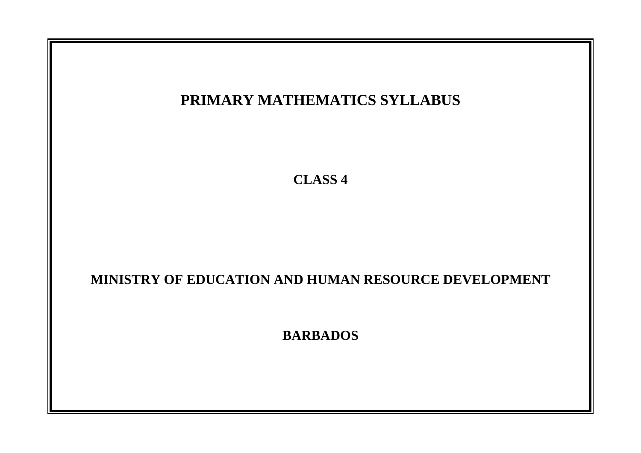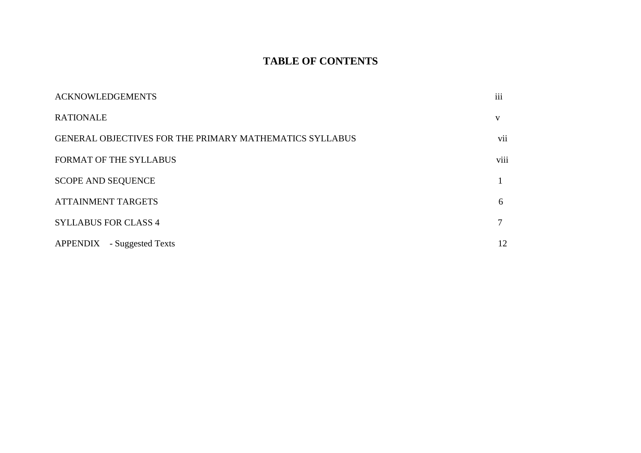# **TABLE OF CONTENTS**

| <b>ACKNOWLEDGEMENTS</b>                                        | iii          |
|----------------------------------------------------------------|--------------|
| <b>RATIONALE</b>                                               | $\mathbf{V}$ |
| <b>GENERAL OBJECTIVES FOR THE PRIMARY MATHEMATICS SYLLABUS</b> | vii          |
| <b>FORMAT OF THE SYLLABUS</b>                                  | viii         |
| <b>SCOPE AND SEQUENCE</b>                                      |              |
| <b>ATTAINMENT TARGETS</b>                                      | 6            |
| <b>SYLLABUS FOR CLASS 4</b>                                    |              |
| APPENDIX - Suggested Texts                                     | 12           |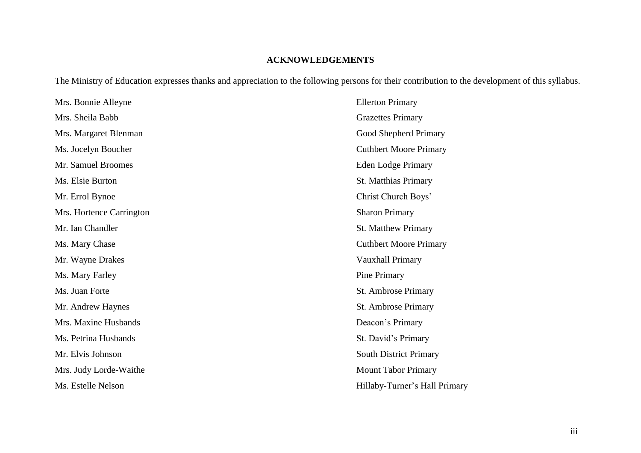## **ACKNOWLEDGEMENTS**

The Ministry of Education expresses thanks and appreciation to the following persons for their contribution to the development of this syllabus.

| Mrs. Bonnie Alleyne      | <b>Ellerton Primary</b>       |
|--------------------------|-------------------------------|
| Mrs. Sheila Babb         | <b>Grazettes Primary</b>      |
| Mrs. Margaret Blenman    | Good Shepherd Primary         |
| Ms. Jocelyn Boucher      | <b>Cuthbert Moore Primary</b> |
| Mr. Samuel Broomes       | <b>Eden Lodge Primary</b>     |
| Ms. Elsie Burton         | <b>St. Matthias Primary</b>   |
| Mr. Errol Bynoe          | Christ Church Boys'           |
| Mrs. Hortence Carrington | <b>Sharon Primary</b>         |
| Mr. Ian Chandler         | <b>St. Matthew Primary</b>    |
| Ms. Mary Chase           | <b>Cuthbert Moore Primary</b> |
| Mr. Wayne Drakes         | Vauxhall Primary              |
| Ms. Mary Farley          | Pine Primary                  |
| Ms. Juan Forte           | St. Ambrose Primary           |
| Mr. Andrew Haynes        | St. Ambrose Primary           |
| Mrs. Maxine Husbands     | Deacon's Primary              |
| Ms. Petrina Husbands     | St. David's Primary           |
| Mr. Elvis Johnson        | South District Primary        |
| Mrs. Judy Lorde-Waithe   | <b>Mount Tabor Primary</b>    |
| Ms. Estelle Nelson       | Hillaby-Turner's Hall Primary |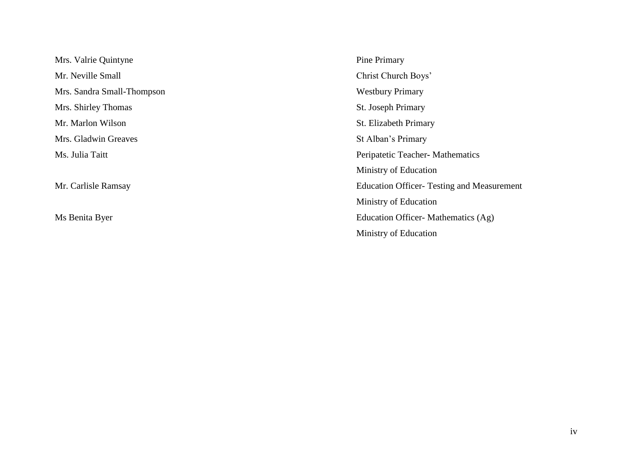Mrs. Valrie Quintyne Pine Primary Mr. Neville Small Christ Church Boys' Mrs. Sandra Small-Thompson Westbury Primary Mrs. Shirley Thomas St. Joseph Primary Mr. Marlon Wilson St. Elizabeth Primary Mrs. Gladwin Greaves St Alban's Primary

Ms. Julia Taitt Peripatetic Teacher**-** Mathematics Ministry of Education Mr. Carlisle Ramsay Education Officer- Testing and Measurement Ministry of Education Ms Benita Byer Education Officer- Mathematics (Ag) Ministry of Education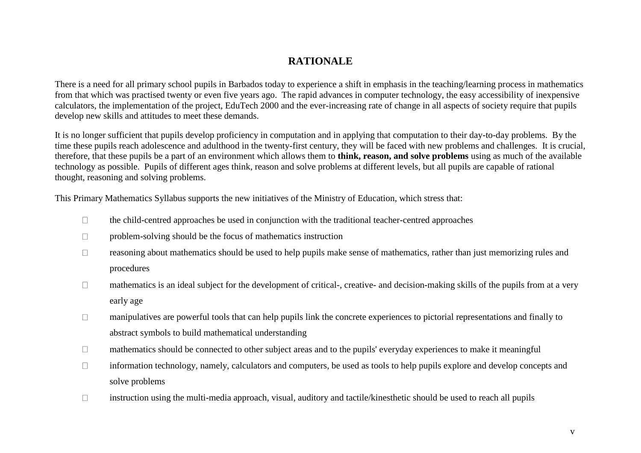## **RATIONALE**

There is a need for all primary school pupils in Barbados today to experience a shift in emphasis in the teaching/learning process in mathematics from that which was practised twenty or even five years ago. The rapid advances in computer technology, the easy accessibility of inexpensive calculators, the implementation of the project, EduTech 2000 and the ever-increasing rate of change in all aspects of society require that pupils develop new skills and attitudes to meet these demands.

It is no longer sufficient that pupils develop proficiency in computation and in applying that computation to their day-to-day problems. By the time these pupils reach adolescence and adulthood in the twenty-first century, they will be faced with new problems and challenges. It is crucial, therefore, that these pupils be a part of an environment which allows them to **think, reason, and solve problems** using as much of the available technology as possible. Pupils of different ages think, reason and solve problems at different levels, but all pupils are capable of rational thought, reasoning and solving problems.

This Primary Mathematics Syllabus supports the new initiatives of the Ministry of Education, which stress that:

- $\Box$ the child-centred approaches be used in conjunction with the traditional teacher-centred approaches
- $\Box$ problem-solving should be the focus of mathematics instruction
- reasoning about mathematics should be used to help pupils make sense of mathematics, rather than just memorizing rules and  $\Box$ procedures
- mathematics is an ideal subject for the development of critical-, creative- and decision-making skills of the pupils from at a very  $\Box$ early age
- manipulatives are powerful tools that can help pupils link the concrete experiences to pictorial representations and finally to  $\Box$ abstract symbols to build mathematical understanding
- $\Box$ mathematics should be connected to other subject areas and to the pupils' everyday experiences to make it meaningful
- information technology, namely, calculators and computers, be used as tools to help pupils explore and develop concepts and  $\Box$ solve problems
- $\Box$ instruction using the multi-media approach, visual, auditory and tactile/kinesthetic should be used to reach all pupils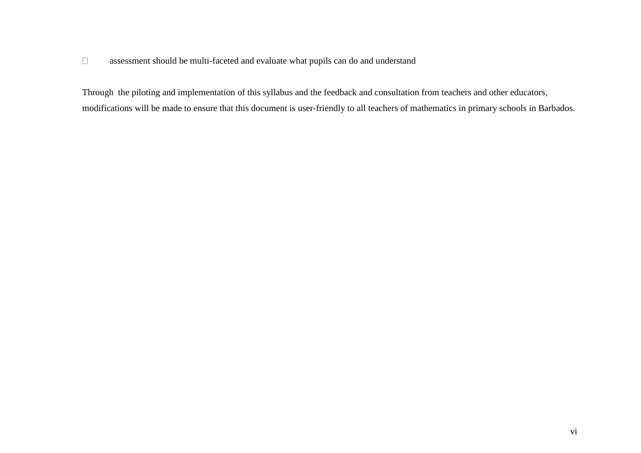#### $\Box$ assessment should be multi-faceted and evaluate what pupils can do and understand

Through the piloting and implementation of this syllabus and the feedback and consultation from teachers and other educators, modifications will be made to ensure that this document is user-friendly to all teachers of mathematics in primary schools in Barbados.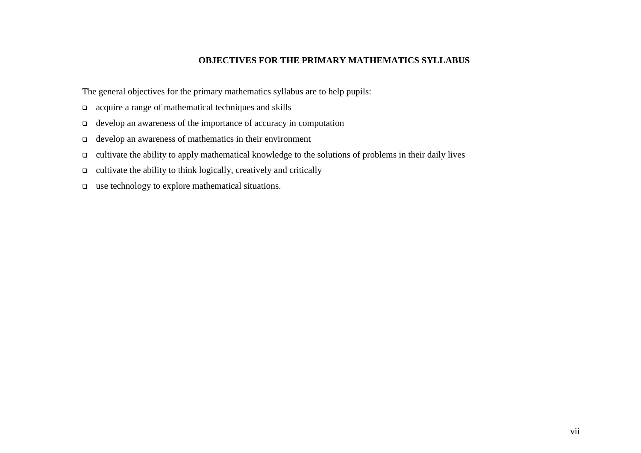### **OBJECTIVES FOR THE PRIMARY MATHEMATICS SYLLABUS**

The general objectives for the primary mathematics syllabus are to help pupils:

- acquire a range of mathematical techniques and skills
- develop an awareness of the importance of accuracy in computation
- develop an awareness of mathematics in their environment
- $\Box$  cultivate the ability to apply mathematical knowledge to the solutions of problems in their daily lives
- $\Box$  cultivate the ability to think logically, creatively and critically
- $\Box$  use technology to explore mathematical situations.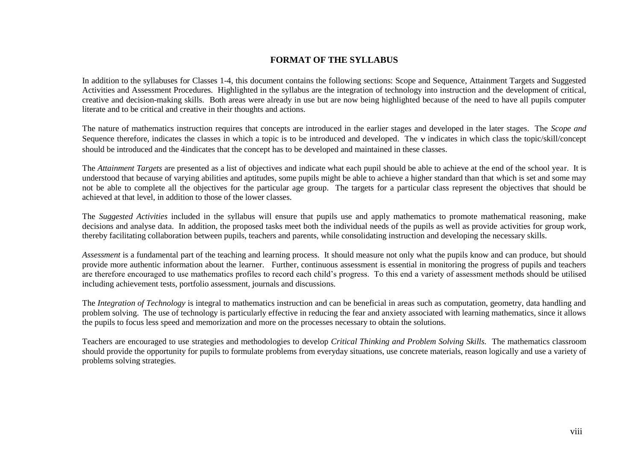#### **FORMAT OF THE SYLLABUS**

In addition to the syllabuses for Classes 1-4, this document contains the following sections: Scope and Sequence, Attainment Targets and Suggested Activities and Assessment Procedures. Highlighted in the syllabus are the integration of technology into instruction and the development of critical, creative and decision-making skills. Both areas were already in use but are now being highlighted because of the need to have all pupils computer literate and to be critical and creative in their thoughts and actions.

The nature of mathematics instruction requires that concepts are introduced in the earlier stages and developed in the later stages. The *Scope and*  Sequence therefore, indicates the classes in which a topic is to be introduced and developed. The  $\nu$  indicates in which class the topic/skill/concept should be introduced and the indicates that the concept has to be developed and maintained in these classes.

The *Attainment Targets* are presented as a list of objectives and indicate what each pupil should be able to achieve at the end of the school year. It is understood that because of varying abilities and aptitudes, some pupils might be able to achieve a higher standard than that which is set and some may not be able to complete all the objectives for the particular age group. The targets for a particular class represent the objectives that should be achieved at that level, in addition to those of the lower classes.

The *Suggested Activities* included in the syllabus will ensure that pupils use and apply mathematics to promote mathematical reasoning, make decisions and analyse data. In addition, the proposed tasks meet both the individual needs of the pupils as well as provide activities for group work, thereby facilitating collaboration between pupils, teachers and parents, while consolidating instruction and developing the necessary skills.

*Assessment* is a fundamental part of the teaching and learning process. It should measure not only what the pupils know and can produce, but should provide more authentic information about the learner. Further, continuous assessment is essential in monitoring the progress of pupils and teachers are therefore encouraged to use mathematics profiles to record each child's progress. To this end a variety of assessment methods should be utilised including achievement tests, portfolio assessment, journals and discussions.

The *Integration of Technology* is integral to mathematics instruction and can be beneficial in areas such as computation, geometry, data handling and problem solving. The use of technology is particularly effective in reducing the fear and anxiety associated with learning mathematics, since it allows the pupils to focus less speed and memorization and more on the processes necessary to obtain the solutions.

Teachers are encouraged to use strategies and methodologies to develop *Critical Thinking and Problem Solving Skills.* The mathematics classroom should provide the opportunity for pupils to formulate problems from everyday situations, use concrete materials, reason logically and use a variety of problems solving strategies.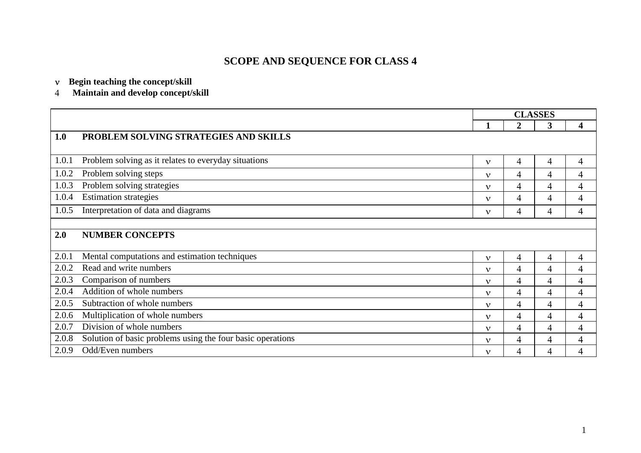# **SCOPE AND SEQUENCE FOR CLASS 4**

#### **Begin teaching the concept/skill**

#### $\overline{4}$ **Maintain and develop concept/skill**

|       |                                                            | <b>CLASSES</b> |                |                |                |
|-------|------------------------------------------------------------|----------------|----------------|----------------|----------------|
|       |                                                            | 1              | 2              | 3              | 4              |
| 1.0   | PROBLEM SOLVING STRATEGIES AND SKILLS                      |                |                |                |                |
|       |                                                            |                |                |                |                |
| 1.0.1 | Problem solving as it relates to everyday situations       | $\mathbf{v}$   | 4              | 4              | 4              |
| 1.0.2 | Problem solving steps                                      | $\mathbf{v}$   | 4              | 4              | 4              |
| 1.0.3 | Problem solving strategies                                 | $\mathbf{v}$   | 4              | 4              | 4              |
| 1.0.4 | <b>Estimation strategies</b>                               | $\mathbf{v}$   | 4              | $\overline{4}$ | 4              |
| 1.0.5 | Interpretation of data and diagrams                        | $\mathbf{v}$   | 4              | 4              | 4              |
|       |                                                            |                |                |                |                |
| 2.0   | <b>NUMBER CONCEPTS</b>                                     |                |                |                |                |
|       |                                                            |                |                |                |                |
| 2.0.1 | Mental computations and estimation techniques              | $\mathbf{v}$   | 4              | 4              | 4              |
| 2.0.2 | Read and write numbers                                     | $\mathbf{v}$   | $\overline{4}$ | $\overline{4}$ | 4              |
| 2.0.3 | Comparison of numbers                                      | $\mathbf{v}$   | 4              | 4              | 4              |
| 2.0.4 | Addition of whole numbers                                  | $\mathbf{v}$   | 4              | 4              | 4              |
| 2.0.5 | Subtraction of whole numbers                               | $\mathbf{v}$   | 4              | $\overline{4}$ | 4              |
| 2.0.6 | Multiplication of whole numbers                            | $\mathbf{v}$   | 4              | 4              | 4              |
| 2.0.7 | Division of whole numbers                                  | $\mathbf{v}$   | 4              | 4              | 4              |
| 2.0.8 | Solution of basic problems using the four basic operations | $\mathbf{v}$   | 4              | 4              | 4              |
| 2.0.9 | Odd/Even numbers                                           | $\mathbf{v}$   | 4              | $\overline{4}$ | $\overline{4}$ |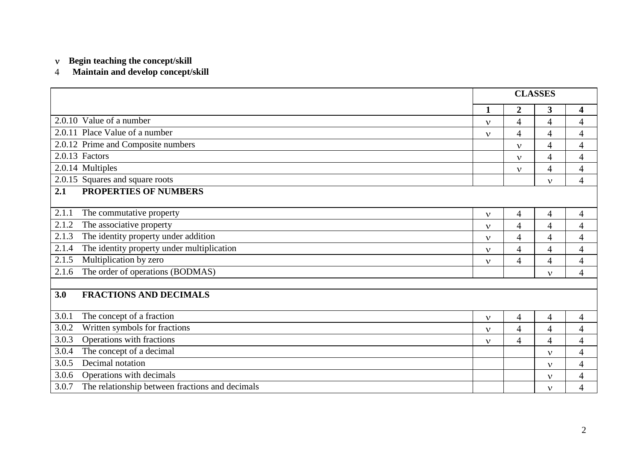#### $\overline{4}$ **Maintain and develop concept/skill**

|                                                                                       |                                | <b>CLASSES</b> |                |                          |  |  |
|---------------------------------------------------------------------------------------|--------------------------------|----------------|----------------|--------------------------|--|--|
|                                                                                       | $\mathbf{1}$                   | $\overline{2}$ | 3              | $\overline{\mathbf{4}}$  |  |  |
| 2.0.10 Value of a number                                                              |                                |                | $\overline{4}$ | $\overline{4}$           |  |  |
| $\overline{4}$<br>$\mathbf{v}$<br>2.0.11 Place Value of a number<br>4<br>$\mathbf{v}$ |                                |                |                |                          |  |  |
| 2.0.12 Prime and Composite numbers                                                    |                                | $\mathbf{v}$   | $\overline{4}$ | $\overline{4}$           |  |  |
| 2.0.13 Factors                                                                        |                                | $\mathbf{v}$   | $\overline{4}$ | $\overline{4}$           |  |  |
| 2.0.14 Multiples                                                                      |                                | $\mathbf{v}$   | $\overline{4}$ | $\overline{4}$           |  |  |
| 2.0.15 Squares and square roots                                                       |                                |                | $\mathbf{v}$   | $\overline{4}$           |  |  |
| <b>PROPERTIES OF NUMBERS</b><br>2.1                                                   |                                |                |                |                          |  |  |
| 2.1.1<br>The commutative property                                                     |                                |                |                |                          |  |  |
| 2.1.2                                                                                 | $\mathbf{v}$                   | 4              | $\overline{4}$ | $\overline{4}$           |  |  |
| The associative property                                                              | $\mathbf{v}$                   | $\overline{4}$ | $\overline{4}$ | $\overline{4}$           |  |  |
| 2.1.3<br>The identity property under addition                                         | $\mathbf{v}$                   | $\overline{4}$ | $\overline{4}$ | $\overline{4}$           |  |  |
| The identity property under multiplication<br>2.1.4                                   | $\mathbf{v}$                   | $\overline{4}$ | $\overline{4}$ | $\overline{4}$           |  |  |
| Multiplication by zero<br>2.1.5                                                       | $\mathbf{v}$                   | $\overline{4}$ | $\overline{4}$ | $\overline{4}$           |  |  |
| The order of operations (BODMAS)<br>2.1.6                                             |                                |                | $\mathbf{v}$   | $\overline{4}$           |  |  |
|                                                                                       |                                |                |                |                          |  |  |
| <b>FRACTIONS AND DECIMALS</b><br>3.0                                                  |                                |                |                |                          |  |  |
| 3.0.1<br>The concept of a fraction                                                    | $\mathbf{v}$                   | $\overline{4}$ | 4              | $\overline{4}$           |  |  |
| Written symbols for fractions<br>3.0.2                                                | $\mathbf v$                    | $\overline{4}$ | $\overline{4}$ | $\overline{4}$           |  |  |
| Operations with fractions<br>3.0.3                                                    | $\mathbf{v}$                   | $\overline{4}$ | $\overline{4}$ | $\overline{4}$           |  |  |
| The concept of a decimal<br>3.0.4                                                     | $\overline{4}$<br>$\mathbf{v}$ |                |                |                          |  |  |
| Decimal notation<br>3.0.5                                                             | $\overline{4}$<br>$\mathbf{v}$ |                |                |                          |  |  |
| 3.0.6<br>Operations with decimals                                                     |                                |                | $\mathbf{v}$   | $\overline{4}$           |  |  |
| The relationship between fractions and decimals<br>3.0.7                              |                                |                | $\mathbf{v}$   | $\overline{\mathcal{A}}$ |  |  |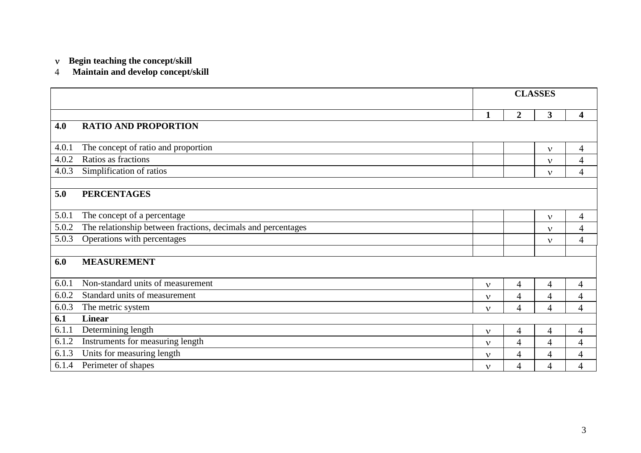#### $\overline{4}$ **Maintain and develop concept/skill**

|       |                                                              | <b>CLASSES</b> |                |                |                          |
|-------|--------------------------------------------------------------|----------------|----------------|----------------|--------------------------|
|       |                                                              |                | $\mathbf 2$    | 3              | $\overline{\mathbf{4}}$  |
| 4.0   | <b>RATIO AND PROPORTION</b>                                  |                |                |                |                          |
|       |                                                              |                |                |                |                          |
| 4.0.1 | The concept of ratio and proportion                          |                |                | $\mathbf{v}$   | 4                        |
| 4.0.2 | Ratios as fractions                                          |                |                | $\mathbf{v}$   | $\overline{4}$           |
| 4.0.3 | Simplification of ratios                                     |                |                | $\mathbf{v}$   | $\overline{4}$           |
|       |                                                              |                |                |                |                          |
| 5.0   | <b>PERCENTAGES</b>                                           |                |                |                |                          |
|       |                                                              |                |                |                |                          |
| 5.0.1 | The concept of a percentage                                  |                |                | $\mathbf{v}$   | $\overline{4}$           |
| 5.0.2 | The relationship between fractions, decimals and percentages |                |                | $\mathbf{v}$   | $\overline{4}$           |
| 5.0.3 | Operations with percentages                                  |                |                | $\mathbf{v}$   | $\overline{4}$           |
|       |                                                              |                |                |                |                          |
| 6.0   | <b>MEASUREMENT</b>                                           |                |                |                |                          |
|       |                                                              |                |                |                |                          |
| 6.0.1 | Non-standard units of measurement                            | $\mathbf{v}$   | 4              | 4              | 4                        |
| 6.0.2 | Standard units of measurement                                | $\mathbf{v}$   | $\overline{4}$ | 4              | 4                        |
| 6.0.3 | The metric system                                            | $\mathbf{v}$   | 4              | $\overline{4}$ | $\overline{4}$           |
| 6.1   | <b>Linear</b>                                                |                |                |                |                          |
| 6.1.1 | Determining length                                           | $\mathbf{v}$   | $\overline{4}$ | 4              | $\overline{\mathcal{A}}$ |
| 6.1.2 | Instruments for measuring length                             | $\mathbf{v}$   | $\overline{4}$ | 4              | 4                        |
| 6.1.3 | Units for measuring length                                   | $\mathbf{v}$   | 4              | 4              | 4                        |
| 6.1.4 | Perimeter of shapes                                          | $\mathbf{v}$   | 4              | $\overline{4}$ | $\overline{4}$           |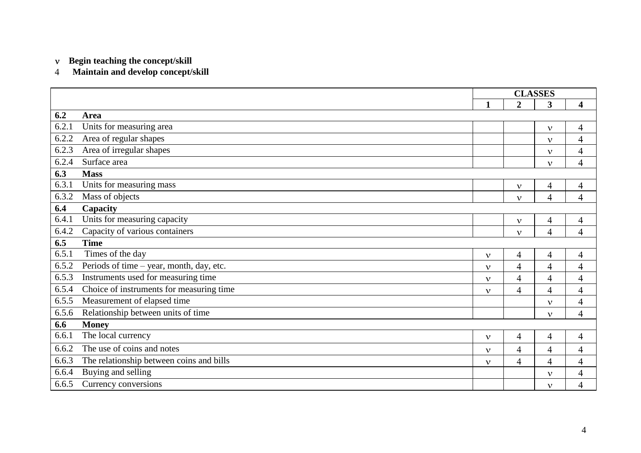#### **Maintain and develop concept/skill**

|       |                                          | <b>CLASSES</b> |                |                          |                         |
|-------|------------------------------------------|----------------|----------------|--------------------------|-------------------------|
|       |                                          | 1              | $\overline{2}$ | 3                        | $\overline{\mathbf{4}}$ |
| 6.2   | Area                                     |                |                |                          |                         |
| 6.2.1 | Units for measuring area                 |                |                | $\mathbf{v}$             | $\overline{4}$          |
| 6.2.2 | Area of regular shapes                   |                |                | $\mathbf{v}$             | $\overline{4}$          |
| 6.2.3 | Area of irregular shapes                 |                |                | $\mathbf{v}$             | $\overline{4}$          |
| 6.2.4 | Surface area                             |                |                | $\mathbf{v}$             | $\overline{4}$          |
| 6.3   | <b>Mass</b>                              |                |                |                          |                         |
| 6.3.1 | Units for measuring mass                 |                | $\mathbf{v}$   | 4                        | $\overline{4}$          |
| 6.3.2 | Mass of objects                          |                | $\mathbf v$    | $\overline{4}$           | $\overline{4}$          |
| 6.4   | Capacity                                 |                |                |                          |                         |
| 6.4.1 | Units for measuring capacity             |                | $\mathbf{v}$   | 4                        | $\overline{4}$          |
| 6.4.2 | Capacity of various containers           |                | $\mathbf{v}$   | $\overline{4}$           | $\overline{4}$          |
| 6.5   | <b>Time</b>                              |                |                |                          |                         |
| 6.5.1 | Times of the day                         | $\mathbf{v}$   | 4              | $\overline{\mathcal{A}}$ | $\overline{4}$          |
| 6.5.2 | Periods of time - year, month, day, etc. | $\mathbf{v}$   | 4              | $\overline{4}$           | $\overline{4}$          |
| 6.5.3 | Instruments used for measuring time      | $\mathbf v$    | 4              | $\overline{4}$           | $\overline{4}$          |
| 6.5.4 | Choice of instruments for measuring time | v              | 4              | $\overline{\mathcal{A}}$ | 4                       |
| 6.5.5 | Measurement of elapsed time              |                |                | $\mathbf{v}$             | 4                       |
| 6.5.6 | Relationship between units of time       |                |                | $\mathbf{v}$             | $\overline{4}$          |
| 6.6   | <b>Money</b>                             |                |                |                          |                         |
| 6.6.1 | The local currency                       | $\mathbf{v}$   | 4              | $\overline{4}$           | $\overline{4}$          |
| 6.6.2 | The use of coins and notes               | $\mathbf{v}$   | 4              | $\overline{4}$           | $\overline{4}$          |
| 6.6.3 | The relationship between coins and bills | $\mathbf v$    | 4              | $\overline{4}$           | $\overline{4}$          |
| 6.6.4 | Buying and selling                       |                |                | $\mathbf{v}$             | 4                       |
| 6.6.5 | Currency conversions                     |                |                | $\mathbf{v}$             | 4                       |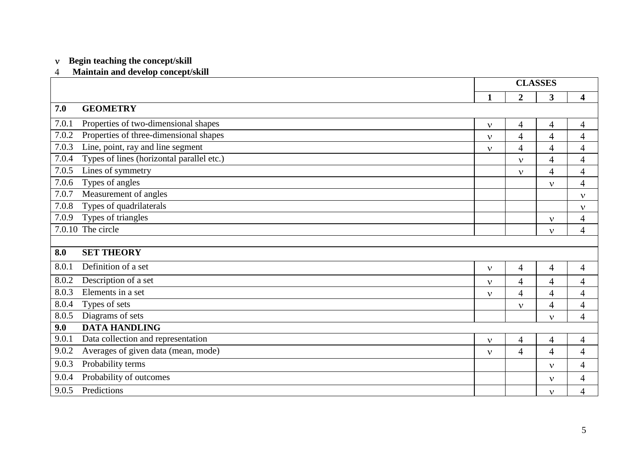#### **Maintain and develop concept/skill**

|       |                                           | <b>CLASSES</b> |                |                          |                          |
|-------|-------------------------------------------|----------------|----------------|--------------------------|--------------------------|
|       |                                           | 1              | $\overline{2}$ | 3                        | $\overline{\mathbf{4}}$  |
| 7.0   | <b>GEOMETRY</b>                           |                |                |                          |                          |
| 7.0.1 | Properties of two-dimensional shapes      | $\mathbf{v}$   | 4              | $\overline{4}$           | $\overline{4}$           |
| 7.0.2 | Properties of three-dimensional shapes    | $\mathbf{v}$   | $\overline{4}$ | $\overline{4}$           | $\overline{4}$           |
| 7.0.3 | Line, point, ray and line segment         | $\mathbf{v}$   | $\overline{4}$ | $\overline{\mathcal{L}}$ | $\overline{4}$           |
| 7.0.4 | Types of lines (horizontal parallel etc.) |                | $\mathbf{v}$   | $\overline{\mathcal{A}}$ | 4                        |
| 7.0.5 | Lines of symmetry                         |                | $\mathbf{v}$   | $\overline{4}$           | $\overline{4}$           |
| 7.0.6 | Types of angles                           |                |                | $\mathbf{v}$             | $\overline{4}$           |
| 7.0.7 | Measurement of angles                     |                |                |                          | $\mathbf{v}$             |
| 7.0.8 | Types of quadrilaterals                   |                |                |                          | $\mathbf{v}$             |
| 7.0.9 | Types of triangles                        |                |                | $\mathbf{v}$             | 4                        |
|       | 7.0.10 The circle                         |                |                | $\mathbf{v}$             | 4                        |
|       |                                           |                |                |                          |                          |
| 8.0   | <b>SET THEORY</b>                         |                |                |                          |                          |
| 8.0.1 | Definition of a set                       | $\mathbf v$    | $\overline{4}$ | $\overline{4}$           | $\overline{4}$           |
| 8.0.2 | Description of a set                      | $\mathbf{v}$   | $\overline{4}$ | $\overline{\mathcal{A}}$ | 4                        |
| 8.0.3 | Elements in a set                         | $\mathbf{v}$   | $\overline{4}$ | $\overline{\mathcal{A}}$ | 4                        |
| 8.0.4 | Types of sets                             |                | $\mathbf{v}$   | $\overline{\mathcal{A}}$ | 4                        |
| 8.0.5 | Diagrams of sets                          |                |                | $\mathbf v$              | $\overline{\mathcal{A}}$ |
| 9.0   | <b>DATA HANDLING</b>                      |                |                |                          |                          |
| 9.0.1 | Data collection and representation        | $\mathbf{v}$   | 4              | $\overline{4}$           | $\overline{4}$           |
| 9.0.2 | Averages of given data (mean, mode)       | $\mathbf{v}$   | $\overline{4}$ | $\overline{\mathcal{L}}$ | 4                        |
| 9.0.3 | Probability terms                         |                |                | $\mathbf{v}$             | 4                        |
| 9.0.4 | Probability of outcomes                   |                |                | $\mathbf{v}$             | 4                        |
| 9.0.5 | Predictions                               |                |                | $\mathbf{v}$             | 4                        |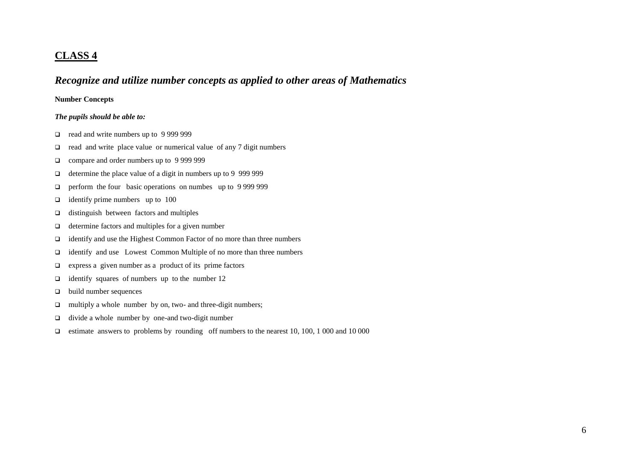### **CLASS 4**

## *Recognize and utilize number concepts as applied to other areas of Mathematics*

#### **Number Concepts**

#### *The pupils should be able to:*

- □ read and write numbers up to 9 999 999
- $\Box$  read and write place value or numerical value of any 7 digit numbers
- □ compare and order numbers up to 9 999 999
- $\Box$  determine the place value of a digit in numbers up to 9 999 999
- **Q** perform the four basic operations on numbes up to 9 999 999
- $\Box$  identify prime numbers up to 100
- $\Box$  distinguish between factors and multiples
- $\Box$  determine factors and multiples for a given number
- identify and use the Highest Common Factor of no more than three numbers
- identify and use Lowest Common Multiple of no more than three numbers
- $\Box$  express a given number as a product of its prime factors
- $\Box$  identify squares of numbers up to the number 12
- $\Box$  build number sequences
- multiply a whole number by on, two- and three-digit numbers;
- $\Box$  divide a whole number by one-and two-digit number
- estimate answers to problems by rounding off numbers to the nearest 10, 100, 1000 and 10000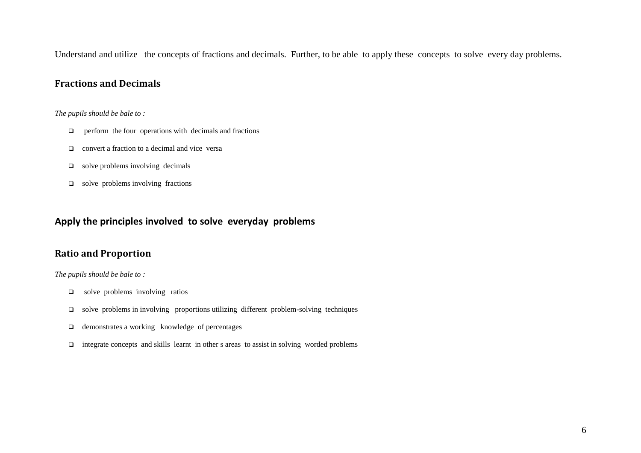Understand and utilize the concepts of fractions and decimals. Further, to be able to apply these concepts to solve every day problems.

### **Fractions and Decimals**

#### *The pupils should be bale to :*

- $\Box$  perform the four operations with decimals and fractions
- $\Box$  convert a fraction to a decimal and vice versa
- $\Box$  solve problems involving decimals
- $\Box$  solve problems involving fractions

### **Apply the principles involved to solve everyday problems**

### **Ratio and Proportion**

#### *The pupils should be bale to :*

- $\Box$  solve problems involving ratios
- solve problems in involving proportions utilizing different problem-solving techniques
- $\Box$  demonstrates a working knowledge of percentages
- $\Box$  integrate concepts and skills learnt in other s areas to assist in solving worded problems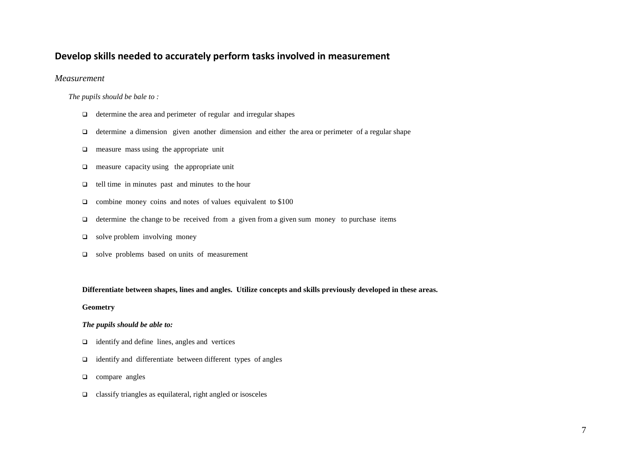## **Develop skills needed to accurately perform tasks involved in measurement**

*Measurement*

*The pupils should be bale to :*

- $\Box$  determine the area and perimeter of regular and irregular shapes
- $\Box$  determine a dimension given another dimension and either the area or perimeter of a regular shape
- $\Box$  measure mass using the appropriate unit
- $\Box$  measure capacity using the appropriate unit
- $\Box$  tell time in minutes past and minutes to the hour
- $\Box$  combine money coins and notes of values equivalent to \$100
- $\Box$  determine the change to be received from a given from a given sum money to purchase items
- $\Box$  solve problem involving money
- □ solve problems based on units of measurement

#### **Differentiate between shapes, lines and angles. Utilize concepts and skills previously developed in these areas.**

#### **Geometry**

#### *The pupils should be able to:*

- $\Box$  identify and define lines, angles and vertices
- identify and differentiate between different types of angles
- **Q** compare angles
- $\Box$  classify triangles as equilateral, right angled or isosceles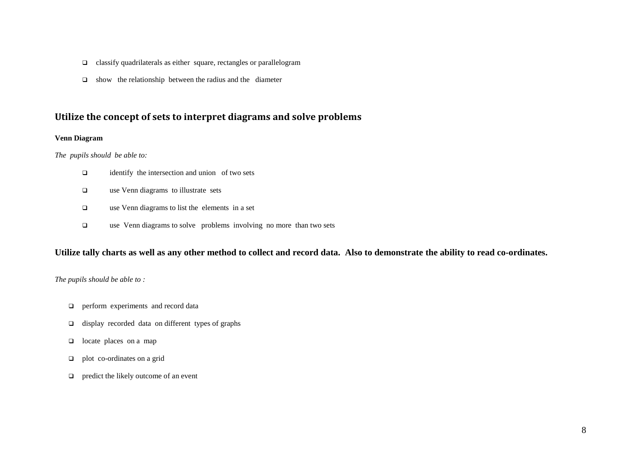- $\Box$  classify quadrilaterals as either square, rectangles or parallelogram
- $\Box$  show the relationship between the radius and the diameter

### **Utilize the concept of sets to interpret diagrams and solve problems**

#### **Venn Diagram**

*The pupils should be able to:*

- $\Box$  identify the intersection and union of two sets
- □ use Venn diagrams to illustrate sets
- use Venn diagrams to list the elements in a set
- use Venn diagrams to solve problems involving no more than two sets

#### **Utilize tally charts as well as any other method to collect and record data. Also to demonstrate the ability to read co-ordinates.**

*The pupils should be able to :*

- **Q** perform experiments and record data
- $\Box$  display recorded data on different types of graphs
- $\Box$  locate places on a map
- $\Box$  plot co-ordinates on a grid
- $\Box$  predict the likely outcome of an event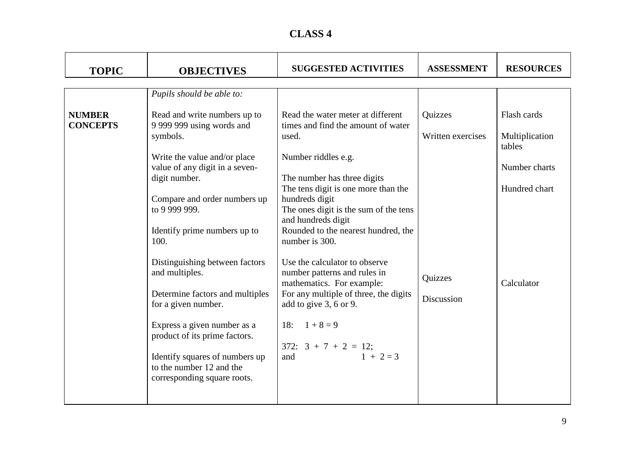# **CLASS 4**

| <b>TOPIC</b>                     | <b>OBJECTIVES</b>                                                                                                                                         | <b>SUGGESTED ACTIVITIES</b>                                                                                                                                   | <b>ASSESSMENT</b>            | <b>RESOURCES</b>                        |
|----------------------------------|-----------------------------------------------------------------------------------------------------------------------------------------------------------|---------------------------------------------------------------------------------------------------------------------------------------------------------------|------------------------------|-----------------------------------------|
|                                  | Pupils should be able to:                                                                                                                                 |                                                                                                                                                               |                              |                                         |
| <b>NUMBER</b><br><b>CONCEPTS</b> | Read and write numbers up to<br>9 999 999 using words and<br>symbols.                                                                                     | Read the water meter at different<br>times and find the amount of water<br>used.                                                                              | Quizzes<br>Written exercises | Flash cards<br>Multiplication<br>tables |
|                                  | Write the value and/or place<br>value of any digit in a seven-<br>digit number.<br>Compare and order numbers up<br>to 9 999 999.                          | Number riddles e.g.<br>The number has three digits<br>The tens digit is one more than the<br>hundreds digit<br>The ones digit is the sum of the tens          |                              | Number charts<br>Hundred chart          |
|                                  | Identify prime numbers up to<br>100.                                                                                                                      | and hundreds digit<br>Rounded to the nearest hundred, the<br>number is 300.                                                                                   |                              |                                         |
|                                  | Distinguishing between factors<br>and multiples.<br>Determine factors and multiples<br>for a given number.                                                | Use the calculator to observe<br>number patterns and rules in<br>mathematics. For example:<br>For any multiple of three, the digits<br>add to give 3, 6 or 9. | Quizzes<br>Discussion        | Calculator                              |
|                                  | Express a given number as a<br>product of its prime factors.<br>Identify squares of numbers up<br>to the number 12 and the<br>corresponding square roots. | 18: $1+8=9$<br>$372: 3 + 7 + 2 = 12;$<br>$1 + 2 = 3$<br>and                                                                                                   |                              |                                         |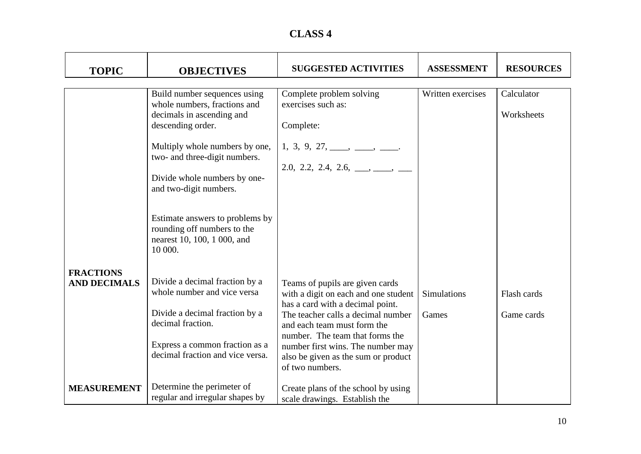| <b>CLASS 4</b> |  |
|----------------|--|
|----------------|--|

| <b>TOPIC</b>                            | <b>OBJECTIVES</b>                                                                                        | <b>SUGGESTED ACTIVITIES</b>                                                                                 | <b>ASSESSMENT</b>  | <b>RESOURCES</b>         |
|-----------------------------------------|----------------------------------------------------------------------------------------------------------|-------------------------------------------------------------------------------------------------------------|--------------------|--------------------------|
|                                         |                                                                                                          |                                                                                                             |                    |                          |
|                                         | Build number sequences using<br>whole numbers, fractions and<br>decimals in ascending and                | Complete problem solving<br>exercises such as:                                                              | Written exercises  | Calculator<br>Worksheets |
|                                         | descending order.                                                                                        | Complete:                                                                                                   |                    |                          |
|                                         | Multiply whole numbers by one,<br>two- and three-digit numbers.                                          | $1, 3, 9, 27, \underline{\hspace{1cm}}, \underline{\hspace{1cm}}, \underline{\hspace{1cm}}.$                |                    |                          |
|                                         | Divide whole numbers by one-<br>and two-digit numbers.                                                   | 2.0, 2.2, 2.4, 2.6, ___, ___, ___                                                                           |                    |                          |
|                                         | Estimate answers to problems by<br>rounding off numbers to the<br>nearest 10, 100, 1 000, and<br>10 000. |                                                                                                             |                    |                          |
| <b>FRACTIONS</b><br><b>AND DECIMALS</b> | Divide a decimal fraction by a<br>whole number and vice versa                                            | Teams of pupils are given cards<br>with a digit on each and one student<br>has a card with a decimal point. | <b>Simulations</b> | Flash cards              |
|                                         | Divide a decimal fraction by a<br>decimal fraction.                                                      | The teacher calls a decimal number<br>and each team must form the<br>number. The team that forms the        | Games              | Game cards               |
|                                         | Express a common fraction as a<br>decimal fraction and vice versa.                                       | number first wins. The number may<br>also be given as the sum or product<br>of two numbers.                 |                    |                          |
| <b>MEASUREMENT</b>                      | Determine the perimeter of<br>regular and irregular shapes by                                            | Create plans of the school by using<br>scale drawings. Establish the                                        |                    |                          |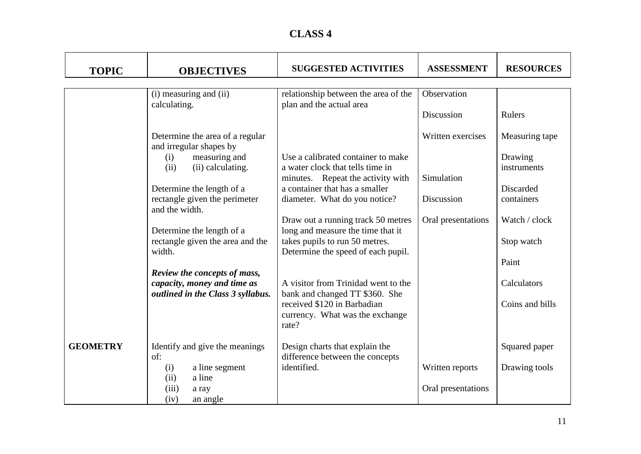# **CLASS 4**

| <b>TOPIC</b>    | <b>OBJECTIVES</b>                                                                                                                                                                               | <b>SUGGESTED ACTIVITIES</b>                                                                                                                                                    | <b>ASSESSMENT</b>                             | <b>RESOURCES</b>                                                    |
|-----------------|-------------------------------------------------------------------------------------------------------------------------------------------------------------------------------------------------|--------------------------------------------------------------------------------------------------------------------------------------------------------------------------------|-----------------------------------------------|---------------------------------------------------------------------|
|                 | (i) measuring and (ii)<br>calculating.                                                                                                                                                          | relationship between the area of the<br>plan and the actual area                                                                                                               | Observation<br>Discussion                     | Rulers                                                              |
|                 | Determine the area of a regular<br>and irregular shapes by<br>measuring and<br>(i)<br>(ii) calculating.<br>(ii)<br>Determine the length of a<br>rectangle given the perimeter<br>and the width. | Use a calibrated container to make<br>a water clock that tells time in<br>minutes. Repeat the activity with<br>a container that has a smaller<br>diameter. What do you notice? | Written exercises<br>Simulation<br>Discussion | Measuring tape<br>Drawing<br>instruments<br>Discarded<br>containers |
|                 | Determine the length of a<br>rectangle given the area and the<br>width.<br>Review the concepts of mass,                                                                                         | Draw out a running track 50 metres<br>long and measure the time that it<br>takes pupils to run 50 metres.<br>Determine the speed of each pupil.                                | Oral presentations                            | Watch / clock<br>Stop watch<br>Paint                                |
|                 | capacity, money and time as<br>outlined in the Class 3 syllabus.                                                                                                                                | A visitor from Trinidad went to the<br>bank and changed TT \$360. She<br>received \$120 in Barbadian<br>currency. What was the exchange<br>rate?                               |                                               | Calculators<br>Coins and bills                                      |
| <b>GEOMETRY</b> | Identify and give the meanings<br>of:<br>a line segment<br>(i)<br>a line<br>(ii)<br>(iii)<br>a ray<br>(iv)<br>an angle                                                                          | Design charts that explain the<br>difference between the concepts<br>identified.                                                                                               | Written reports<br>Oral presentations         | Squared paper<br>Drawing tools                                      |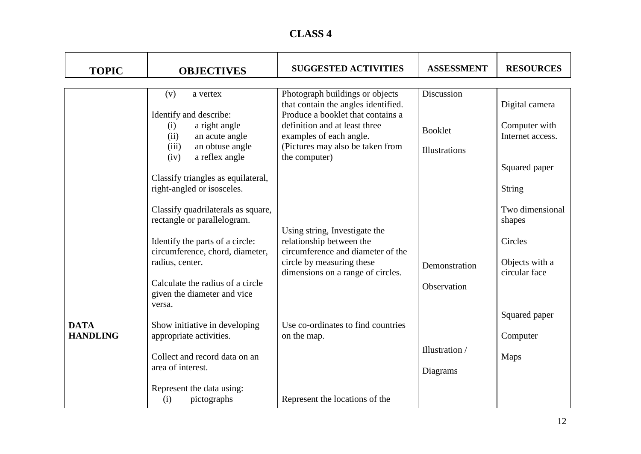| <b>CLASS 4</b> |  |
|----------------|--|
|----------------|--|

| <b>TOPIC</b>    | <b>OBJECTIVES</b>                                                         | <b>SUGGESTED ACTIVITIES</b>                                              | <b>ASSESSMENT</b>    | <b>RESOURCES</b>                  |
|-----------------|---------------------------------------------------------------------------|--------------------------------------------------------------------------|----------------------|-----------------------------------|
|                 | (v)<br>a vertex                                                           | Photograph buildings or objects                                          | Discussion           |                                   |
|                 | Identify and describe:                                                    | that contain the angles identified.<br>Produce a booklet that contains a |                      | Digital camera                    |
|                 | a right angle<br>(i)<br>an acute angle<br>(ii)                            | definition and at least three<br>examples of each angle.                 | <b>Booklet</b>       | Computer with<br>Internet access. |
|                 | an obtuse angle<br>(iii)<br>(iv)<br>a reflex angle                        | (Pictures may also be taken from<br>the computer)                        | <b>Illustrations</b> |                                   |
|                 | Classify triangles as equilateral,                                        |                                                                          |                      | Squared paper                     |
|                 | right-angled or isosceles.                                                |                                                                          |                      | String<br>Two dimensional         |
|                 | Classify quadrilaterals as square,<br>rectangle or parallelogram.         | Using string, Investigate the                                            |                      | shapes                            |
|                 | Identify the parts of a circle:<br>circumference, chord, diameter,        | relationship between the<br>circumference and diameter of the            |                      | Circles                           |
|                 | radius, center.                                                           | circle by measuring these<br>dimensions on a range of circles.           | Demonstration        | Objects with a<br>circular face   |
|                 | Calculate the radius of a circle<br>given the diameter and vice<br>versa. |                                                                          | Observation          |                                   |
| <b>DATA</b>     | Show initiative in developing                                             | Use co-ordinates to find countries                                       |                      | Squared paper                     |
| <b>HANDLING</b> | appropriate activities.                                                   | on the map.                                                              | Illustration /       | Computer                          |
|                 | Collect and record data on an<br>area of interest.                        |                                                                          |                      | Maps                              |
|                 | Represent the data using:<br>pictographs<br>(i)                           | Represent the locations of the                                           | Diagrams             |                                   |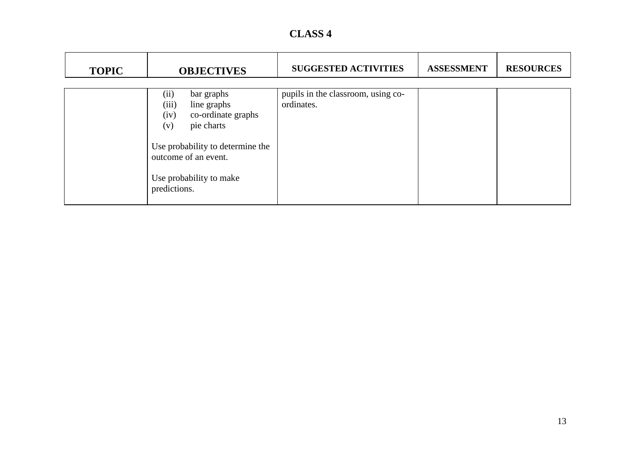| <b>CLASS 4</b> |  |
|----------------|--|
|----------------|--|

| <b>TOPIC</b> | <b>OBJECTIVES</b>                                                                                                                                         | <b>SUGGESTED ACTIVITIES</b>                      | <b>ASSESSMENT</b> | <b>RESOURCES</b> |
|--------------|-----------------------------------------------------------------------------------------------------------------------------------------------------------|--------------------------------------------------|-------------------|------------------|
|              | bar graphs<br>(ii)<br>(iii)<br>line graphs<br>co-ordinate graphs<br>(iv)<br>pie charts<br>(v)<br>Use probability to determine the<br>outcome of an event. | pupils in the classroom, using co-<br>ordinates. |                   |                  |
|              | Use probability to make<br>predictions.                                                                                                                   |                                                  |                   |                  |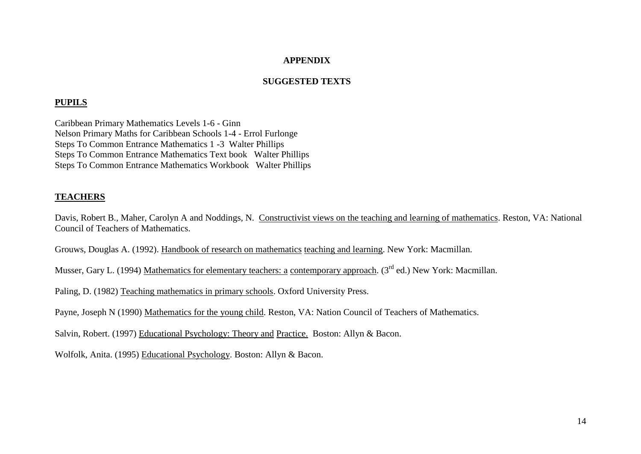### **APPENDIX**

### **SUGGESTED TEXTS**

### **PUPILS**

Caribbean Primary Mathematics Levels 1-6 - Ginn Nelson Primary Maths for Caribbean Schools 1-4 - Errol Furlonge Steps To Common Entrance Mathematics 1 -3 Walter Phillips Steps To Common Entrance Mathematics Text book Walter Phillips Steps To Common Entrance Mathematics Workbook Walter Phillips

### **TEACHERS**

Davis, Robert B., Maher, Carolyn A and Noddings, N. Constructivist views on the teaching and learning of mathematics. Reston, VA: National Council of Teachers of Mathematics.

Grouws, Douglas A. (1992). Handbook of research on mathematics teaching and learning. New York: Macmillan.

Musser, Gary L. (1994) Mathematics for elementary teachers: a contemporary approach. (3<sup>rd</sup> ed.) New York: Macmillan.

Paling, D. (1982) Teaching mathematics in primary schools. Oxford University Press.

Payne, Joseph N (1990) Mathematics for the young child. Reston, VA: Nation Council of Teachers of Mathematics.

Salvin, Robert. (1997) Educational Psychology: Theory and Practice. Boston: Allyn & Bacon.

Wolfolk, Anita. (1995) Educational Psychology. Boston: Allyn & Bacon.